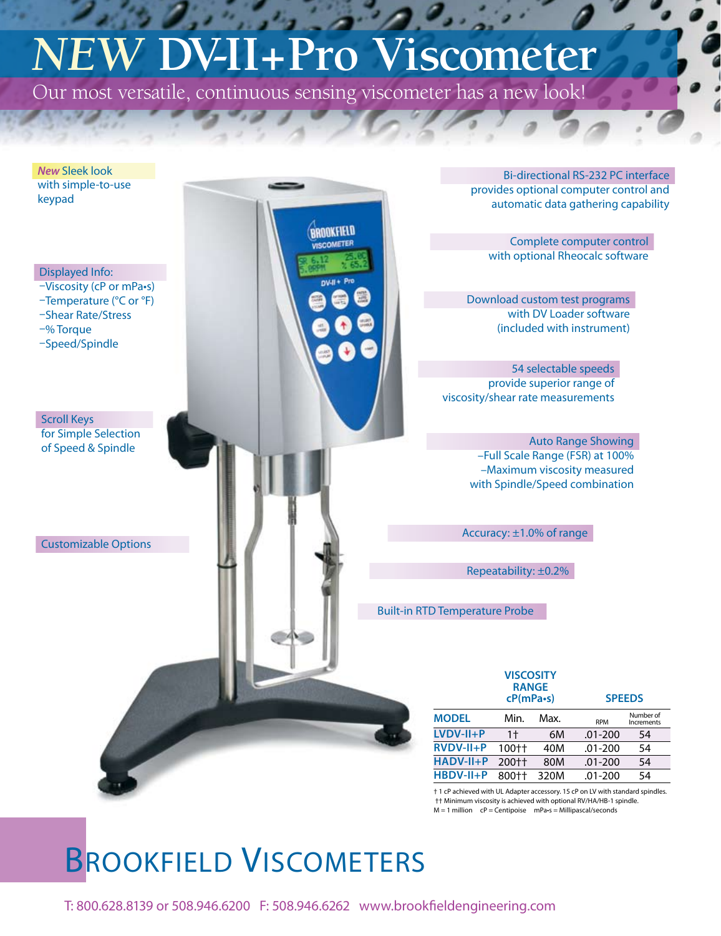# *NEW* **DV-II+Pro Viscometer**

Our most versatile, continuous sensing viscometer has a new look!



† 1 cP achieved with UL Adapter accessory. 15 cP on LV with standard spindles. †† Minimum viscosity is achieved with optional RV/HA/HB-1 spindle.  $M = 1$  million  $cP =$  Centipoise  $mPa-s =$  Millipascal/seconds

## BROOKFIELD VISCOMETERS

T: 800.628.8139 or 508.946.6200 F: 508.946.6262 www.brookfieldengineering.com